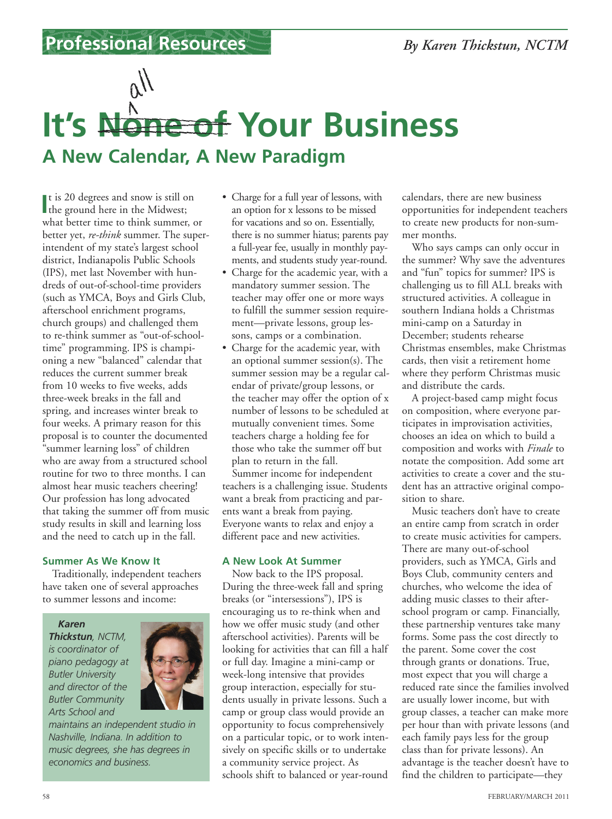### **Professional Resources**

# **A New Calendar, A New Paradigm It's None of Your Business**

It is 20 degrees and snow is still computed the ground here in the Midwest; t is 20 degrees and snow is still on what better time to think summer, or better yet, *re-think* summer. The superintendent of my state's largest school district, Indianapolis Public Schools (IPS), met last November with hundreds of out-of-school-time providers (such as YMCA, Boys and Girls Club, afterschool enrichment programs, church groups) and challenged them to re-think summer as "out-of-schooltime" programming. IPS is championing a new "balanced" calendar that reduces the current summer break from 10 weeks to five weeks, adds three-week breaks in the fall and spring, and increases winter break to four weeks. A primary reason for this proposal is to counter the documented "summer learning loss" of children who are away from a structured school routine for two to three months. I can almost hear music teachers cheering! Our profession has long advocated that taking the summer off from music study results in skill and learning loss and the need to catch up in the fall.

### **Summer As We Know It**

Traditionally, independent teachers have taken one of several approaches to summer lessons and income:

#### *Karen*

*Thickstun, NCTM, is coordinator of piano pedagogy at Butler University and director of the Butler Community Arts School and*



*maintains an independent studio in Nashville, Indiana. In addition to music degrees, she has degrees in economics and business.*

- Charge for a full year of lessons, with an option for x lessons to be missed for vacations and so on. Essentially, there is no summer hiatus; parents pay a full-year fee, usually in monthly payments, and students study year-round.
- Charge for the academic year, with a mandatory summer session. The teacher may offer one or more ways to fulfill the summer session requirement—private lessons, group lessons, camps or a combination.
- Charge for the academic year, with an optional summer session(s). The summer session may be a regular calendar of private/group lessons, or the teacher may offer the option of x number of lessons to be scheduled at mutually convenient times. Some teachers charge a holding fee for those who take the summer off but plan to return in the fall.

Summer income for independent teachers is a challenging issue. Students want a break from practicing and parents want a break from paying. Everyone wants to relax and enjoy a different pace and new activities.

#### **A New Look At Summer**

Now back to the IPS proposal. During the three-week fall and spring breaks (or "intersessions"), IPS is encouraging us to re-think when and how we offer music study (and other afterschool activities). Parents will be looking for activities that can fill a half or full day. Imagine a mini-camp or week-long intensive that provides group interaction, especially for students usually in private lessons. Such a camp or group class would provide an opportunity to focus comprehensively on a particular topic, or to work intensively on specific skills or to undertake a community service project. As schools shift to balanced or year-round

calendars, there are new business opportunities for independent teachers to create new products for non-summer months.

Who says camps can only occur in the summer? Why save the adventures and "fun" topics for summer? IPS is challenging us to fill ALL breaks with structured activities. A colleague in southern Indiana holds a Christmas mini-camp on a Saturday in December; students rehearse Christmas ensembles, make Christmas cards, then visit a retirement home where they perform Christmas music and distribute the cards.

A project-based camp might focus on composition, where everyone participates in improvisation activities, chooses an idea on which to build a composition and works with *Finale* to notate the composition. Add some art activities to create a cover and the student has an attractive original composition to share.

Music teachers don't have to create an entire camp from scratch in order to create music activities for campers. There are many out-of-school providers, such as YMCA, Girls and Boys Club, community centers and churches, who welcome the idea of adding music classes to their afterschool program or camp. Financially, these partnership ventures take many forms. Some pass the cost directly to the parent. Some cover the cost through grants or donations. True, most expect that you will charge a reduced rate since the families involved are usually lower income, but with group classes, a teacher can make more per hour than with private lessons (and each family pays less for the group class than for private lessons). An advantage is the teacher doesn't have to find the children to participate—they